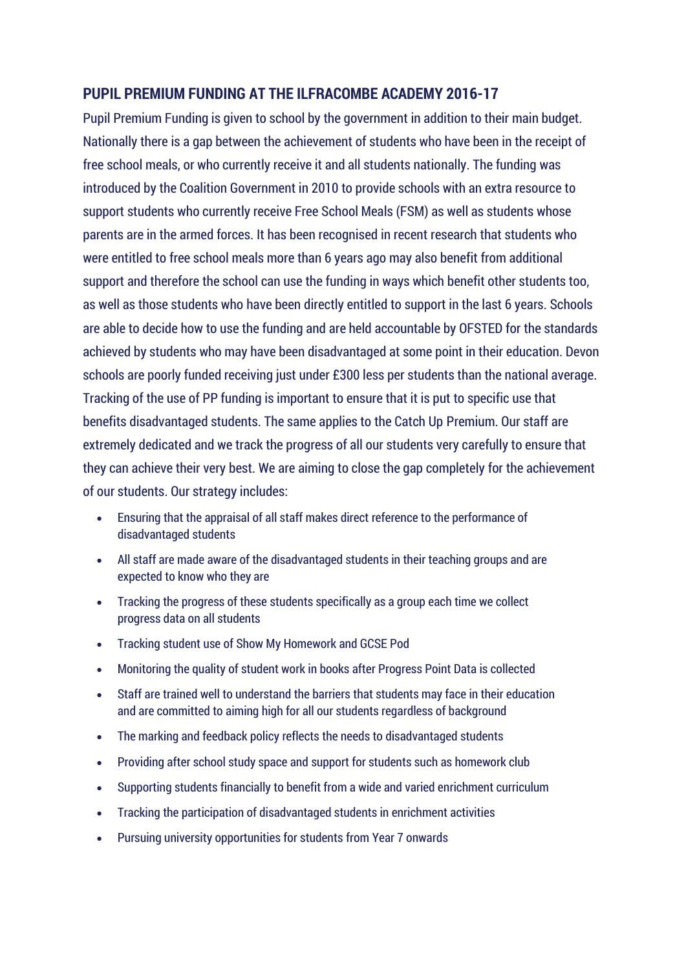# **PUPIL PREMIUM FUNDING AT THE ILFRACOMBE ACADEMY 2016-17**

Pupil Premium Funding is given to school by the government in addition to their main budget. Nationally there is a gap between the achievement of students who have been in the receipt of free school meals, or who currently receive it and all students nationally. The funding was introduced by the Coalition Government in 2010 to provide schools with an extra resource to support students who currently receive Free School Meals (FSM) as well as students whose parents are in the armed forces. It has been recognised in recent research that students who were entitled to free school meals more than 6 years ago may also benefit from additional support and therefore the school can use the funding in ways which benefit other students too, as well as those students who have been directly entitled to support in the last 6 years. Schools are able to decide how to use the funding and are held accountable by OFSTED for the standards achieved by students who may have been disadvantaged at some point in their education. Devon schools are poorly funded receiving just under £300 less per students than the national average. Tracking of the use of PP funding is important to ensure that it is put to specific use that benefits disadvantaged students. The same applies to the Catch Up Premium. Our staff are extremely dedicated and we track the progress of all our students very carefully to ensure that they can achieve their very best. We are aiming to close the gap completely for the achievement of our students. Our strategy includes:

- Ensuring that the appraisal of all staff makes direct reference to the performance of disadvantaged students
- All staff are made aware of the disadvantaged students in their teaching groups and are expected to know who they are
- Tracking the progress of these students specifically as a group each time we collect progress data on all students
- Tracking student use of Show My Homework and GCSE Pod
- Monitoring the quality of student work in books after Progress Point Data is collected
- Staff are trained well to understand the barriers that students may face in their education and are committed to aiming high for all our students regardless of background
- The marking and feedback policy reflects the needs to disadvantaged students
- Providing after school study space and support for students such as homework club
- Supporting students financially to benefit from a wide and varied enrichment curriculum
- Tracking the participation of disadvantaged students in enrichment activities
- Pursuing university opportunities for students from Year 7 onwards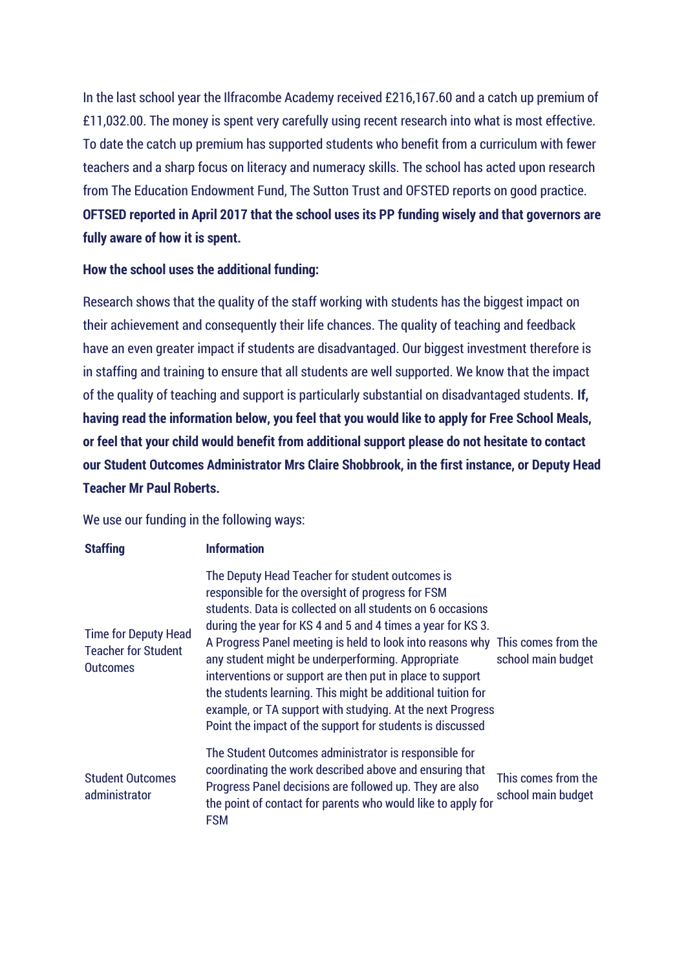In the last school year the Ilfracombe Academy received £216,167.60 and a catch up premium of £11,032.00. The money is spent very carefully using recent research into what is most effective. To date the catch up premium has supported students who benefit from a curriculum with fewer teachers and a sharp focus on literacy and numeracy skills. The school has acted upon research from The Education Endowment Fund, The Sutton Trust and OFSTED reports on good practice. **OFTSED reported in April 2017 that the school uses its PP funding wisely and that governors are fully aware of how it is spent.**

#### **How the school uses the additional funding:**

Research shows that the quality of the staff working with students has the biggest impact on their achievement and consequently their life chances. The quality of teaching and feedback have an even greater impact if students are disadvantaged. Our biggest investment therefore is in staffing and training to ensure that all students are well supported. We know that the impact of the quality of teaching and support is particularly substantial on disadvantaged students. **If, having read the information below, you feel that you would like to apply for Free School Meals, or feel that your child would benefit from additional support please do not hesitate to contact our Student Outcomes Administrator Mrs Claire Shobbrook, in the first instance, or Deputy Head Teacher Mr Paul Roberts.**

We use our funding in the following ways:

| <b>Staffing</b>                                                              | <b>Information</b>                                                                                                                                                                                                                                                                                                                                                                                                                                                                                                                                                                                                             |                                           |
|------------------------------------------------------------------------------|--------------------------------------------------------------------------------------------------------------------------------------------------------------------------------------------------------------------------------------------------------------------------------------------------------------------------------------------------------------------------------------------------------------------------------------------------------------------------------------------------------------------------------------------------------------------------------------------------------------------------------|-------------------------------------------|
| <b>Time for Deputy Head</b><br><b>Teacher for Student</b><br><b>Outcomes</b> | The Deputy Head Teacher for student outcomes is<br>responsible for the oversight of progress for FSM<br>students. Data is collected on all students on 6 occasions<br>during the year for KS 4 and 5 and 4 times a year for KS 3.<br>A Progress Panel meeting is held to look into reasons why This comes from the<br>any student might be underperforming. Appropriate<br>interventions or support are then put in place to support<br>the students learning. This might be additional tuition for<br>example, or TA support with studying. At the next Progress<br>Point the impact of the support for students is discussed | school main budget                        |
| <b>Student Outcomes</b><br>administrator                                     | The Student Outcomes administrator is responsible for<br>coordinating the work described above and ensuring that<br>Progress Panel decisions are followed up. They are also<br>the point of contact for parents who would like to apply for<br><b>FSM</b>                                                                                                                                                                                                                                                                                                                                                                      | This comes from the<br>school main budget |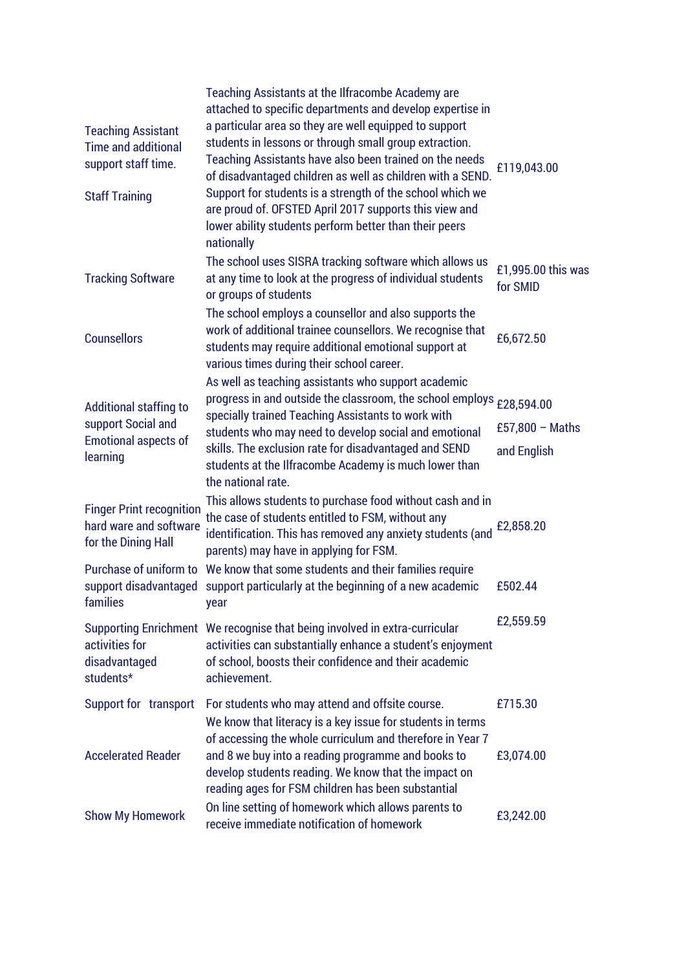| <b>Teaching Assistant</b><br><b>Time and additional</b><br>support staff time.          | Teaching Assistants at the Ilfracombe Academy are<br>attached to specific departments and develop expertise in<br>a particular area so they are well equipped to support<br>students in lessons or through small group extraction.<br>Teaching Assistants have also been trained on the needs<br>of disadvantaged children as well as children with a SEND. | £119,043.00                    |
|-----------------------------------------------------------------------------------------|-------------------------------------------------------------------------------------------------------------------------------------------------------------------------------------------------------------------------------------------------------------------------------------------------------------------------------------------------------------|--------------------------------|
| <b>Staff Training</b>                                                                   | Support for students is a strength of the school which we<br>are proud of. OFSTED April 2017 supports this view and<br>lower ability students perform better than their peers<br>nationally                                                                                                                                                                 |                                |
| <b>Tracking Software</b>                                                                | The school uses SISRA tracking software which allows us<br>at any time to look at the progress of individual students<br>or groups of students                                                                                                                                                                                                              | £1,995.00 this was<br>for SMID |
| <b>Counsellors</b>                                                                      | The school employs a counsellor and also supports the<br>work of additional trainee counsellors. We recognise that<br>students may require additional emotional support at<br>various times during their school career.                                                                                                                                     | £6,672.50                      |
|                                                                                         | As well as teaching assistants who support academic<br>progress in and outside the classroom, the school employs £28,594.00                                                                                                                                                                                                                                 |                                |
| Additional staffing to<br>support Social and<br><b>Emotional aspects of</b><br>learning | specially trained Teaching Assistants to work with                                                                                                                                                                                                                                                                                                          | £57,800 $-$ Maths              |
|                                                                                         | students who may need to develop social and emotional<br>skills. The exclusion rate for disadvantaged and SEND<br>students at the Ilfracombe Academy is much lower than<br>the national rate.                                                                                                                                                               | and English                    |
| <b>Finger Print recognition</b><br>hard ware and software<br>for the Dining Hall        | This allows students to purchase food without cash and in<br>the case of students entitled to FSM, without any<br>identification. This has removed any anxiety students (and<br>parents) may have in applying for FSM.                                                                                                                                      | £2,858.20                      |
| families                                                                                | Purchase of uniform to We know that some students and their families require<br>support disadvantaged support particularly at the beginning of a new academic<br>year                                                                                                                                                                                       | £502.44                        |
| activities for<br>disadvantaged<br>students*                                            | Supporting Enrichment We recognise that being involved in extra-curricular<br>activities can substantially enhance a student's enjoyment<br>of school, boosts their confidence and their academic<br>achievement.                                                                                                                                           | £2,559.59                      |
| Support for transport                                                                   | For students who may attend and offsite course.                                                                                                                                                                                                                                                                                                             | £715.30                        |
| <b>Accelerated Reader</b>                                                               | We know that literacy is a key issue for students in terms<br>of accessing the whole curriculum and therefore in Year 7<br>and 8 we buy into a reading programme and books to<br>develop students reading. We know that the impact on<br>reading ages for FSM children has been substantial                                                                 | £3,074.00                      |
| <b>Show My Homework</b>                                                                 | On line setting of homework which allows parents to<br>receive immediate notification of homework                                                                                                                                                                                                                                                           | £3,242.00                      |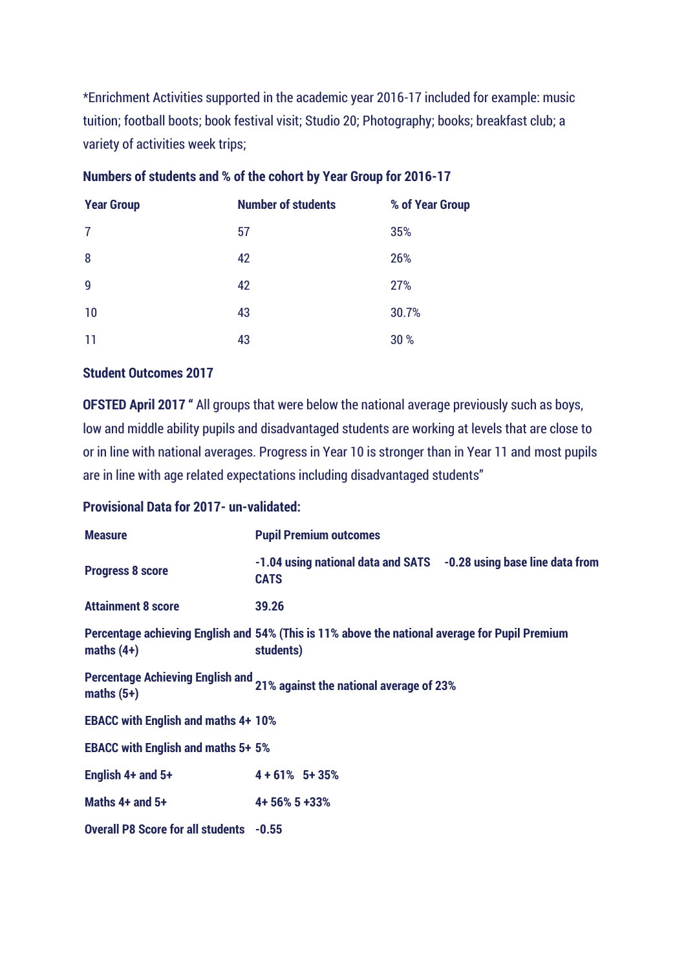\*Enrichment Activities supported in the academic year 2016-17 included for example: music tuition; football boots; book festival visit; Studio 20; Photography; books; breakfast club; a variety of activities week trips;

| <b>Year Group</b> | <b>Number of students</b> | % of Year Group |
|-------------------|---------------------------|-----------------|
| 7                 | 57                        | 35%             |
| 8                 | 42                        | 26%             |
| 9                 | 42                        | 27%             |
| 10                | 43                        | 30.7%           |
| 11                | 43                        | 30 %            |

# **Numbers of students and % of the cohort by Year Group for 2016-17**

#### **Student Outcomes 2017**

**OFSTED April 2017 "** All groups that were below the national average previously such as boys, low and middle ability pupils and disadvantaged students are working at levels that are close to or in line with national averages. Progress in Year 10 is stronger than in Year 11 and most pupils are in line with age related expectations including disadvantaged students"

## **Provisional Data for 2017- un-validated:**

| <b>Measure</b>                                 | <b>Pupil Premium outcomes</b>                                                                               |  |
|------------------------------------------------|-------------------------------------------------------------------------------------------------------------|--|
| <b>Progress 8 score</b>                        | -1.04 using national data and SATS -0.28 using base line data from<br><b>CATS</b>                           |  |
| <b>Attainment 8 score</b>                      | 39.26                                                                                                       |  |
| maths $(4+)$                                   | Percentage achieving English and 54% (This is 11% above the national average for Pupil Premium<br>students) |  |
| maths $(5+)$                                   | Percentage Achieving English and 21% against the national average of 23%                                    |  |
| <b>EBACC with English and maths 4+ 10%</b>     |                                                                                                             |  |
| <b>EBACC with English and maths 5+ 5%</b>      |                                                                                                             |  |
| English 4+ and 5+                              | $4 + 61\%$ 5+ 35%                                                                                           |  |
| Maths 4+ and 5+                                | 4+56%5+33%                                                                                                  |  |
| <b>Overall P8 Score for all students -0.55</b> |                                                                                                             |  |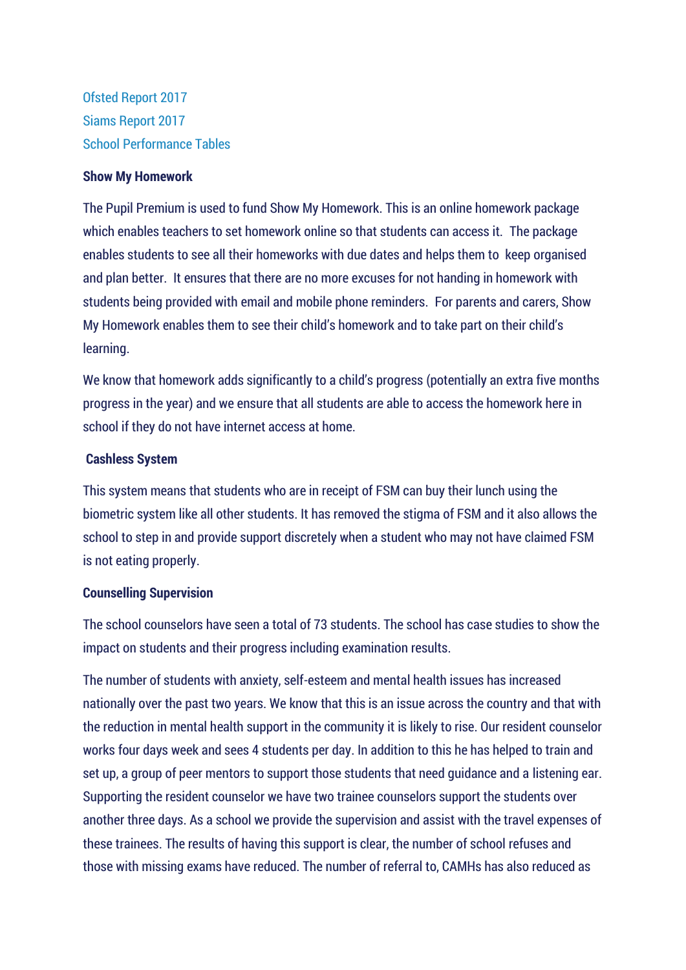[Ofsted Report 2017](https://www.ilfracombeacademy.org.uk/wp-content/uploads/2017/05/Ilfracombe-Academy-Ofsted-Report-April-2017.pdf) [Siams Report 2017](https://www.ilfracombeacademy.org.uk/wp-content/uploads/2017/02/SIAMS-Report-The-Ilfracombe-CE-Academy-Exeter-Lyn-Field-.pdf) [School Performance Tables](https://www.ilfracombeacademy.org.uk/wp-content/uploads/2017/02/SIAMS-Report-The-Ilfracombe-CE-Academy-Exeter-Lyn-Field-.pdf)

#### **Show My Homework**

The Pupil Premium is used to fund Show My Homework. This is an online homework package which enables teachers to set homework online so that students can access it. The package enables students to see all their homeworks with due dates and helps them to keep organised and plan better. It ensures that there are no more excuses for not handing in homework with students being provided with email and mobile phone reminders. For parents and carers, Show My Homework enables them to see their child's homework and to take part on their child's learning.

We know that homework adds significantly to a child's progress (potentially an extra five months progress in the year) and we ensure that all students are able to access the homework here in school if they do not have internet access at home.

#### **Cashless System**

This system means that students who are in receipt of FSM can buy their lunch using the biometric system like all other students. It has removed the stigma of FSM and it also allows the school to step in and provide support discretely when a student who may not have claimed FSM is not eating properly.

#### **Counselling Supervision**

The school counselors have seen a total of 73 students. The school has case studies to show the impact on students and their progress including examination results.

The number of students with anxiety, self-esteem and mental health issues has increased nationally over the past two years. We know that this is an issue across the country and that with the reduction in mental health support in the community it is likely to rise. Our resident counselor works four days week and sees 4 students per day. In addition to this he has helped to train and set up, a group of peer mentors to support those students that need guidance and a listening ear. Supporting the resident counselor we have two trainee counselors support the students over another three days. As a school we provide the supervision and assist with the travel expenses of these trainees. The results of having this support is clear, the number of school refuses and those with missing exams have reduced. The number of referral to, CAMHs has also reduced as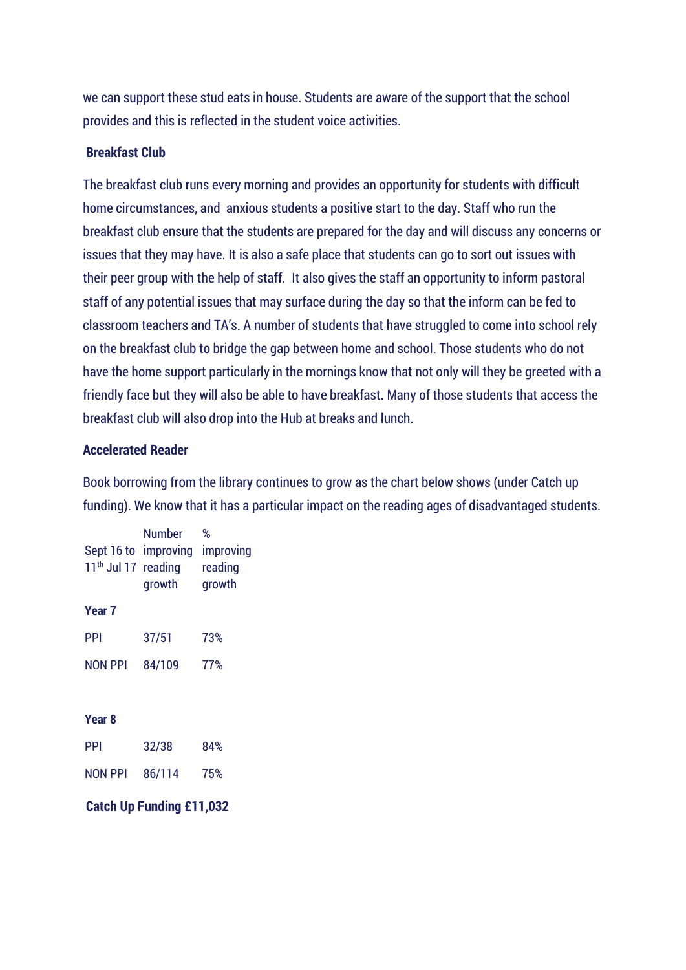we can support these stud eats in house. Students are aware of the support that the school provides and this is reflected in the student voice activities.

### **Breakfast Club**

The breakfast club runs every morning and provides an opportunity for students with difficult home circumstances, and anxious students a positive start to the day. Staff who run the breakfast club ensure that the students are prepared for the day and will discuss any concerns or issues that they may have. It is also a safe place that students can go to sort out issues with their peer group with the help of staff. It also gives the staff an opportunity to inform pastoral staff of any potential issues that may surface during the day so that the inform can be fed to classroom teachers and TA's. A number of students that have struggled to come into school rely on the breakfast club to bridge the gap between home and school. Those students who do not have the home support particularly in the mornings know that not only will they be greeted with a friendly face but they will also be able to have breakfast. Many of those students that access the breakfast club will also drop into the Hub at breaks and lunch.

### **Accelerated Reader**

Book borrowing from the library continues to grow as the chart below shows (under Catch up funding). We know that it has a particular impact on the reading ages of disadvantaged students.

| Sept 16 to<br>11 <sup>th</sup> Jul 17 reading | Number<br>improving<br>growth | %<br>improving<br>reading<br>growth |  |
|-----------------------------------------------|-------------------------------|-------------------------------------|--|
| Year 7                                        |                               |                                     |  |
| PPI                                           | 37/51                         | 73%                                 |  |
| NON PPI                                       | 84/109                        | 77%                                 |  |
|                                               |                               |                                     |  |
| Year 8                                        |                               |                                     |  |
| PPI                                           | 32/38                         | 84%                                 |  |
| <b>NON PPI</b>                                | 86/114                        | 75%                                 |  |
| <b>Catch Up Funding £11,032</b>               |                               |                                     |  |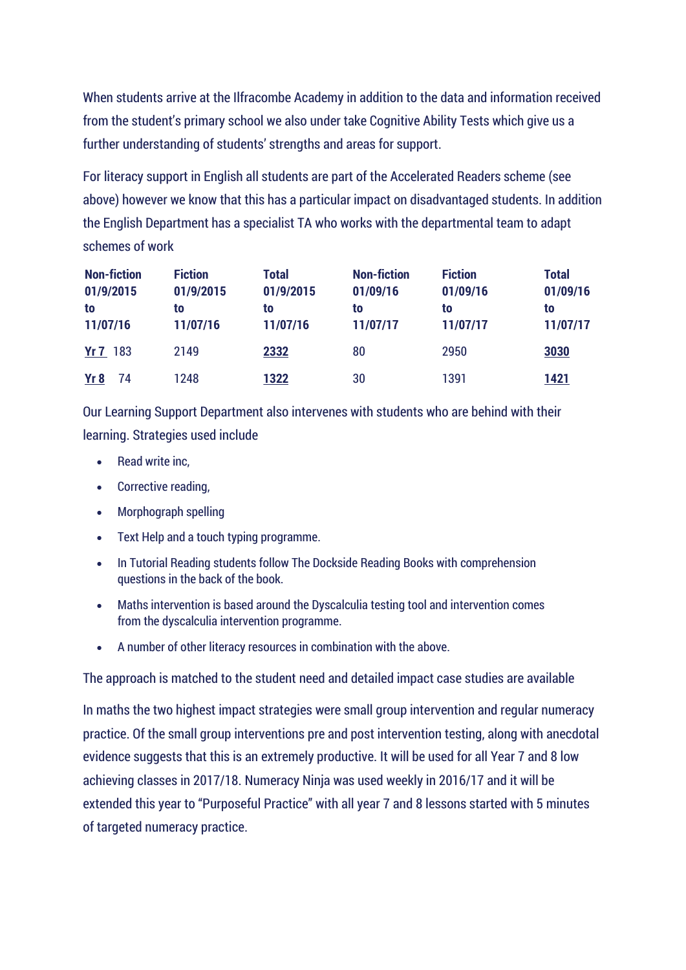When students arrive at the Ilfracombe Academy in addition to the data and information received from the student's primary school we also under take Cognitive Ability Tests which give us a further understanding of students' strengths and areas for support.

For literacy support in English all students are part of the Accelerated Readers scheme (see above) however we know that this has a particular impact on disadvantaged students. In addition the English Department has a specialist TA who works with the departmental team to adapt schemes of work

| <b>Non-fiction</b><br>01/9/2015<br>to<br>11/07/16 | <b>Fiction</b><br>01/9/2015<br>to<br>11/07/16 | <b>Total</b><br>01/9/2015<br>to<br>11/07/16 | <b>Non-fiction</b><br>01/09/16<br>to<br>11/07/17 | <b>Fiction</b><br>01/09/16<br>to<br>11/07/17 | <b>Total</b><br>01/09/16<br>to<br>11/07/17 |
|---------------------------------------------------|-----------------------------------------------|---------------------------------------------|--------------------------------------------------|----------------------------------------------|--------------------------------------------|
| <b>Yr 7</b> 183                                   | 2149                                          | 2332                                        | 80                                               | 2950                                         | 3030                                       |
| <u>Yr 8</u><br>74                                 | 1248                                          | 1322                                        | 30                                               | 1391                                         | 1421                                       |

Our Learning Support Department also intervenes with students who are behind with their learning. Strategies used include

- Read write inc,
- Corrective reading,
- Morphograph spelling
- Text Help and a touch typing programme.
- In Tutorial Reading students follow The Dockside Reading Books with comprehension questions in the back of the book.
- Maths intervention is based around the Dyscalculia testing tool and intervention comes from the dyscalculia intervention programme.
- A number of other literacy resources in combination with the above.

The approach is matched to the student need and detailed impact case studies are available

In maths the two highest impact strategies were small group intervention and regular numeracy practice. Of the small group interventions pre and post intervention testing, along with anecdotal evidence suggests that this is an extremely productive. It will be used for all Year 7 and 8 low achieving classes in 2017/18. Numeracy Ninja was used weekly in 2016/17 and it will be extended this year to "Purposeful Practice" with all year 7 and 8 lessons started with 5 minutes of targeted numeracy practice.